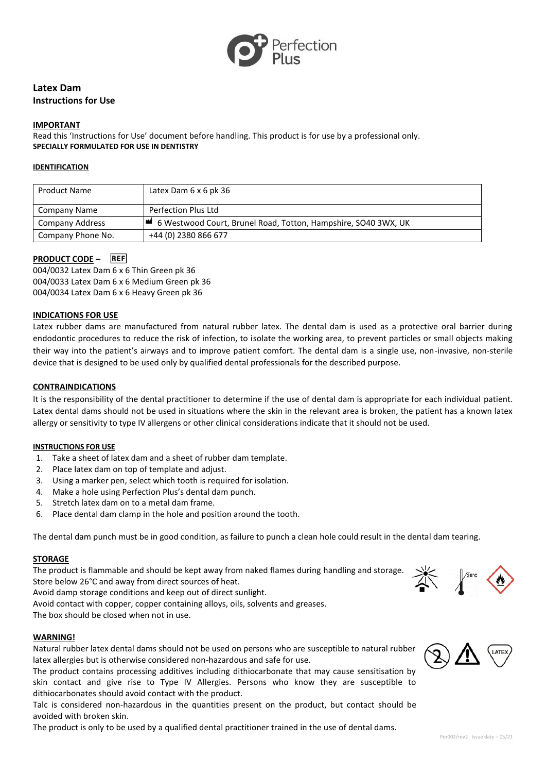

# **Latex Dam Instructions for Use**

#### **IMPORTANT**

Read this 'Instructions for Use' document before handling. This product is for use by a professional only. **SPECIALLY FORMULATED FOR USE IN DENTISTRY**

#### **IDENTIFICATION**

| <b>Product Name</b> | Latex Dam $6 \times 6$ pk 36                                     |
|---------------------|------------------------------------------------------------------|
| Company Name        | Perfection Plus Ltd                                              |
| Company Address     | ■ 6 Westwood Court, Brunel Road, Totton, Hampshire, SO40 3WX, UK |
| Company Phone No.   | +44 (0) 2380 866 677                                             |

# **PRODUCT CODE – REF**

004/0032 Latex Dam 6 x 6 Thin Green pk 36 004/0033 Latex Dam 6 x 6 Medium Green pk 36 004/0034 Latex Dam 6 x 6 Heavy Green pk 36

### **INDICATIONS FOR USE**

Latex rubber dams are manufactured from natural rubber latex. The dental dam is used as a protective oral barrier during endodontic procedures to reduce the risk of infection, to isolate the working area, to prevent particles or small objects making their way into the patient's airways and to improve patient comfort. The dental dam is a single use, non-invasive, non-sterile device that is designed to be used only by qualified dental professionals for the described purpose.

## **CONTRAINDICATIONS**

It is the responsibility of the dental practitioner to determine if the use of dental dam is appropriate for each individual patient. Latex dental dams should not be used in situations where the skin in the relevant area is broken, the patient has a known latex allergy or sensitivity to type IV allergens or other clinical considerations indicate that it should not be used.

#### **INSTRUCTIONS FOR USE**

- 1. Take a sheet of latex dam and a sheet of rubber dam template.
- 2. Place latex dam on top of template and adjust.
- 3. Using a marker pen, select which tooth is required for isolation.
- 4. Make a hole using Perfection Plus's dental dam punch.
- 5. Stretch latex dam on to a metal dam frame.
- 6. Place dental dam clamp in the hole and position around the tooth.

The dental dam punch must be in good condition, as failure to punch a clean hole could result in the dental dam tearing.

#### **STORAGE**

The product is flammable and should be kept away from naked flames during handling and storage. Store below 26°C and away from direct sources of heat.

Avoid damp storage conditions and keep out of direct sunlight.

Avoid contact with copper, copper containing alloys, oils, solvents and greases.

The box should be closed when not in use.

#### **WARNING!**

Natural rubber latex dental dams should not be used on persons who are susceptible to natural rubber latex allergies but is otherwise considered non-hazardous and safe for use.

The product contains processing additives including dithiocarbonate that may cause sensitisation by skin contact and give rise to Type IV Allergies. Persons who know they are susceptible to dithiocarbonates should avoid contact with the product.

Talc is considered non-hazardous in the quantities present on the product, but contact should be avoided with broken skin.

The product is only to be used by a qualified dental practitioner trained in the use of dental dams.